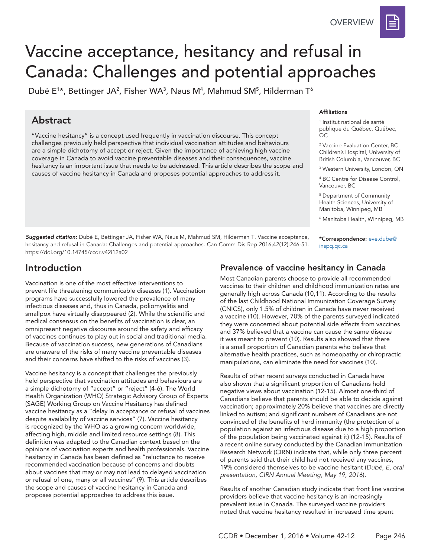# Vaccine acceptance, hesitancy and refusal in Canada: Challenges and potential approaches

Dubé E<sup>1</sup>\*, Bettinger JA<sup>2</sup>, Fisher WA<sup>3</sup>, Naus M<sup>4</sup>, Mahmud SM<sup>5</sup>, Hilderman T<sup>6</sup>

# Abstract

"Vaccine hesitancy" is a concept used frequently in vaccination discourse. This concept challenges previously held perspective that individual vaccination attitudes and behaviours are a simple dichotomy of accept or reject. Given the importance of achieving high vaccine coverage in Canada to avoid vaccine preventable diseases and their consequences, vaccine hesitancy is an important issue that needs to be addressed. This article describes the scope and causes of vaccine hesitancy in Canada and proposes potential approaches to address it.

#### Affiliations

1 Institut national de santé publique du Québec, Québec,  $OC$ 

2 Vaccine Evaluation Center, BC Children's Hospital, University of British Columbia, Vancouver, BC

3 Western University, London, ON

4 BC Centre for Disease Control, Vancouver, BC

5 Department of Community Health Sciences, University of Manitoba, Winnipeg, MB

6 Manitoba Health, Winnipeg, MB

\*Correspondence: [eve.dube@](mailto:eve.dube@inspq.qc.ca) [inspq.qc.ca](mailto:eve.dube@inspq.qc.ca)

*Suggested citation:* Dubé E, Bettinger JA, Fisher WA, Naus M, Mahmud SM, Hilderman T. Vaccine acceptance, hesitancy and refusal in Canada: Challenges and potential approaches. Can Comm Dis Rep 2016;42(12):246-51. <https://doi.org/10.14745/ccdr.v42i12a02>

## Introduction

Vaccination is one of the most effective interventions to prevent life threatening communicable diseases (1). Vaccination programs have successfully lowered the prevalence of many infectious diseases and, thus in Canada, poliomyelitis and smallpox have virtually disappeared (2). While the scientific and medical consensus on the benefits of vaccination is clear, an omnipresent negative discourse around the safety and efficacy of vaccines continues to play out in social and traditional media. Because of vaccination success, new generations of Canadians are unaware of the risks of many vaccine preventable diseases and their concerns have shifted to the risks of vaccines (3).

Vaccine hesitancy is a concept that challenges the previously held perspective that vaccination attitudes and behaviours are a simple dichotomy of "accept" or "reject" (4-6). The World Health Organization (WHO) Strategic Advisory Group of Experts (SAGE) Working Group on Vaccine Hesitancy has defined vaccine hesitancy as a "delay in acceptance or refusal of vaccines despite availability of vaccine services" (7). Vaccine hesitancy is recognized by the WHO as a growing concern worldwide, affecting high, middle and limited resource settings (8). This definition was adapted to the Canadian context based on the opinions of vaccination experts and health professionals. Vaccine hesitancy in Canada has been defined as "reluctance to receive recommended vaccination because of concerns and doubts about vaccines that may or may not lead to delayed vaccination or refusal of one, many or all vaccines" (9). This article describes the scope and causes of vaccine hesitancy in Canada and proposes potential approaches to address this issue.

#### Prevalence of vaccine hesitancy in Canada

Most Canadian parents choose to provide all recommended vaccines to their children and childhood immunization rates are generally high across Canada (10,11). According to the results of the last Childhood National Immunization Coverage Survey (CNICS), only 1.5% of children in Canada have never received a vaccine (10). However, 70% of the parents surveyed indicated they were concerned about potential side effects from vaccines and 37% believed that a vaccine can cause the same disease it was meant to prevent (10)*.* Results also showed that there is a small proportion of Canadian parents who believe that alternative health practices, such as homeopathy or chiropractic manipulations, can eliminate the need for vaccines (10).

Results of other recent surveys conducted in Canada have also shown that a significant proportion of Canadians hold negative views about vaccination (12-15). Almost one-third of Canadians believe that parents should be able to decide against vaccination; approximately 20% believe that vaccines are directly linked to autism; and significant numbers of Canadians are not convinced of the benefits of herd immunity (the protection of a population against an infectious disease due to a high proportion of the population being vaccinated against it) (12-15). Results of a recent online survey conducted by the Canadian Immunization Research Network (CIRN) indicate that, while only three percent of parents said that their child had not received any vaccines, 19% considered themselves to be vaccine hesitant (*Dubé, E, oral presentation, CIRN Annual Meeting, May 19, 2016*).

Results of another Canadian study indicate that front line vaccine providers believe that vaccine hesitancy is an increasingly prevalent issue in Canada. The surveyed vaccine providers noted that vaccine hesitancy resulted in increased time spent

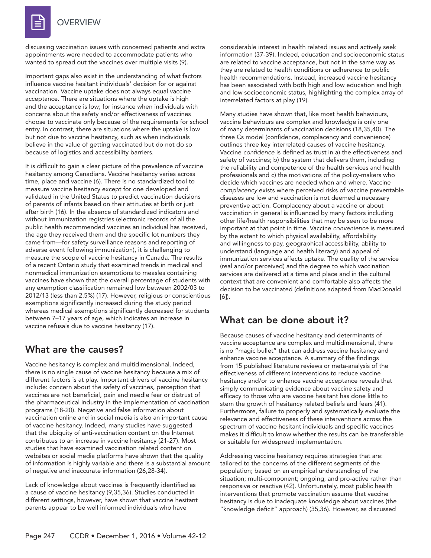**OVERVIEW** 

discussing vaccination issues with concerned patients and extra appointments were needed to accommodate patients who wanted to spread out the vaccines over multiple visits (9).

Important gaps also exist in the understanding of what factors influence vaccine hesitant individuals' decision for or against vaccination. Vaccine uptake does not always equal vaccine acceptance. There are situations where the uptake is high and the acceptance is low; for instance when individuals with concerns about the safety and/or effectiveness of vaccines choose to vaccinate only because of the requirements for school entry. In contrast, there are situations where the uptake is low but not due to vaccine hesitancy, such as when individuals believe in the value of getting vaccinated but do not do so because of logistics and accessibility barriers.

It is difficult to gain a clear picture of the prevalence of vaccine hesitancy among Canadians. Vaccine hesitancy varies across time, place and vaccine (6). There is no standardized tool to measure vaccine hesitancy except for one developed and validated in the United States to predict vaccination decisions of parents of infants based on their attitudes at birth or just after birth (16). In the absence of standardized indicators and without immunization registries (electronic records of all the public health recommended vaccines an individual has received, the age they received them and the specific lot numbers they came from—for safety surveillance reasons and reporting of adverse event following immunization), it is challenging to measure the scope of vaccine hesitancy in Canada. The results of a recent Ontario study that examined trends in medical and nonmedical immunization exemptions to measles containing vaccines have shown that the overall percentage of students with any exemption classification remained low between 2002/03 to 2012/13 (less than 2.5%) (17). However, religious or conscientious exemptions significantly increased during the study period whereas medical exemptions significantly decreased for students between 7–17 years of age, which indicates an increase in vaccine refusals due to vaccine hesitancy (17).

#### What are the causes?

Vaccine hesitancy is complex and multidimensional. Indeed, there is no single cause of vaccine hesitancy because a mix of different factors is at play. Important drivers of vaccine hesitancy include: concern about the safety of vaccines, perception that vaccines are not beneficial, pain and needle fear or distrust of the pharmaceutical industry in the implementation of vaccination programs (18-20). Negative and false information about vaccination online and in social media is also an important cause of vaccine hesitancy. Indeed, many studies have suggested that the ubiquity of anti-vaccination content on the Internet contributes to an increase in vaccine hesitancy (21-27). Most studies that have examined vaccination related content on websites or social media platforms have shown that the quality of information is highly variable and there is a substantial amount of negative and inaccurate information (26,28-34).

Lack of knowledge about vaccines is frequently identified as a cause of vaccine hesitancy (9,35,36). Studies conducted in different settings, however, have shown that vaccine hesitant parents appear to be well informed individuals who have

considerable interest in health related issues and actively seek information (37-39). Indeed, education and socioeconomic status are related to vaccine acceptance, but not in the same way as they are related to health conditions or adherence to public health recommendations. Instead, increased vaccine hesitancy has been associated with both high and low education and high and low socioeconomic status, highlighting the complex array of interrelated factors at play (19).

Many studies have shown that, like most health behaviours, vaccine behaviours are complex and knowledge is only one of many determinants of vaccination decisions (18,35,40). The three Cs model (confidence, complacency and convenience) outlines three key interrelated causes of vaccine hesitancy. Vaccine *confidence* is defined as trust in a) the effectiveness and safety of vaccines; b) the system that delivers them, including the reliability and competence of the health services and health professionals and c) the motivations of the policy-makers who decide which vaccines are needed when and where. Vaccine *complacency* exists where perceived risks of vaccine preventable diseases are low and vaccination is not deemed a necessary preventive action. Complacency about a vaccine or about vaccination in general is influenced by many factors including other life/health responsibilities that may be seen to be more important at that point in time. Vaccine *convenience* is measured by the extent to which physical availability, affordability and willingness to pay, geographical accessibility, ability to understand (language and health literacy) and appeal of immunization services affects uptake. The quality of the service (real and/or perceived) and the degree to which vaccination services are delivered at a time and place and in the cultural context that are convenient and comfortable also affects the decision to be vaccinated (definitions adapted from MacDonald [6]).

#### What can be done about it?

Because causes of vaccine hesitancy and determinants of vaccine acceptance are complex and multidimensional, there is no "magic bullet" that can address vaccine hesitancy and enhance vaccine acceptance. A summary of the findings from 15 published literature reviews or meta-analysis of the effectiveness of different interventions to reduce vaccine hesitancy and/or to enhance vaccine acceptance reveals that simply communicating evidence about vaccine safety and efficacy to those who are vaccine hesitant has done little to stem the growth of hesitancy related beliefs and fears (41). Furthermore, failure to properly and systematically evaluate the relevance and effectiveness of these interventions across the spectrum of vaccine hesitant individuals and specific vaccines makes it difficult to know whether the results can be transferable or suitable for widespread implementation.

Addressing vaccine hesitancy requires strategies that are: tailored to the concerns of the different segments of the population; based on an empirical understanding of the situation; multi-component; ongoing; and pro-active rather than responsive or reactive (42). Unfortunately, most public health interventions that promote vaccination assume that vaccine hesitancy is due to inadequate knowledge about vaccines (the "knowledge deficit" approach) (35,36). However, as discussed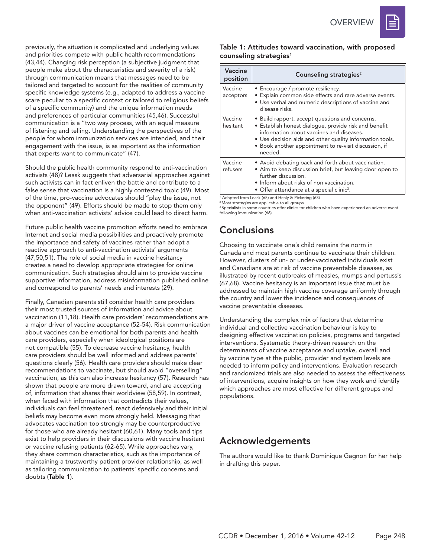previously, the situation is complicated and underlying values and priorities compete with public health recommendations (43,44). Changing risk perception (a subjective judgment that people make about the characteristics and severity of a risk) through communication means that messages need to be tailored and targeted to account for the realities of community specific knowledge systems (e.g., adapted to address a vaccine scare peculiar to a specific context or tailored to religious beliefs of a specific community) and the unique information needs and preferences of particular communities (45,46). Successful communication is a "two way process, with an equal measure of listening and telling. Understanding the perspectives of the people for whom immunization services are intended, and their engagement with the issue, is as important as the information that experts want to communicate" (47).

Should the public health community respond to anti-vaccination activists (48)? Leask suggests that adversarial approaches against such activists can in fact enliven the battle and contribute to a false sense that vaccination is a highly contested topic (49). Most of the time, pro-vaccine advocates should "play the issue, not the opponent" (49). Efforts should be made to stop them only when anti-vaccination activists' advice could lead to direct harm.

Future public health vaccine promotion efforts need to embrace Internet and social media possibilities and proactively promote the importance and safety of vaccines rather than adopt a reactive approach to anti-vaccination activists' arguments (47,50,51). The role of social media in vaccine hesitancy creates a need to develop appropriate strategies for online communication. Such strategies should aim to provide vaccine supportive information, address misinformation published online and correspond to parents' needs and interests (29).

Finally, Canadian parents still consider health care providers their most trusted sources of information and advice about vaccination (11,18). Health care providers' recommendations are a major driver of vaccine acceptance (52-54). Risk communication about vaccines can be emotional for both parents and health care providers, especially when ideological positions are not compatible (55). To decrease vaccine hesitancy, health care providers should be well informed and address parents' questions clearly (56). Health care providers should make clear recommendations to vaccinate, but should avoid "overselling" vaccination, as this can also increase hesitancy (57). Research has shown that people are more drawn toward, and are accepting of, information that shares their worldview (58,59). In contrast, when faced with information that contradicts their values, individuals can feel threatened, react defensively and their initial beliefs may become even more strongly held. Messaging that advocates vaccination too strongly may be counterproductive for those who are already hesitant (60,61). Many tools and tips exist to help providers in their discussions with vaccine hesitant or vaccine refusing patients (62-65). While approaches vary, they share common characteristics, such as the importance of maintaining a trustworthy patient provider relationship, as well as tailoring communication to patients' specific concerns and doubts (Table 1).

#### Table 1: Attitudes toward vaccination, with proposed counseling strategies $1$

| Vaccine<br>position  | Counseling strategies <sup>2</sup>                                                                                                                                                                                                                                                   |
|----------------------|--------------------------------------------------------------------------------------------------------------------------------------------------------------------------------------------------------------------------------------------------------------------------------------|
| Vaccine<br>acceptors | • Encourage / promote resiliency.<br>• Explain common side effects and rare adverse events.<br>• Use verbal and numeric descriptions of vaccine and<br>disease risks.                                                                                                                |
| Vaccine<br>hesitant  | • Build rapport, accept questions and concerns.<br>• Establish honest dialogue, provide risk and benefit<br>information about vaccines and diseases.<br>• Use decision aids and other quality information tools.<br>· Book another appointment to re-visit discussion, if<br>needed. |
| Vaccine<br>refusers  | • Avoid debating back and forth about vaccination.<br>• Aim to keep discussion brief, but leaving door open to<br>further discussion.<br>• Inform about risks of non vaccination.<br>• Offer attendance at a special clinic <sup>3</sup> .                                           |

1 Adapted from Leask (65) and Healy & Pickering (63) 2 Most strategies are applicable to all groups

<sup>3</sup> Specialists in some countries offer clinics for children who have experienced an adverse event following immunization (66)

#### **Conclusions**

Choosing to vaccinate one's child remains the norm in Canada and most parents continue to vaccinate their children. However, clusters of un- or under-vaccinated individuals exist and Canadians are at risk of vaccine preventable diseases, as illustrated by recent outbreaks of measles, mumps and pertussis (67,68). Vaccine hesitancy is an important issue that must be addressed to maintain high vaccine coverage uniformly through the country and lower the incidence and consequences of vaccine preventable diseases.

Understanding the complex mix of factors that determine individual and collective vaccination behaviour is key to designing effective vaccination policies, programs and targeted interventions. Systematic theory-driven research on the determinants of vaccine acceptance and uptake, overall and by vaccine type at the public, provider and system levels are needed to inform policy and interventions. Evaluation research and randomized trials are also needed to assess the effectiveness of interventions, acquire insights on how they work and identify which approaches are most effective for different groups and populations.

### Acknowledgements

The authors would like to thank Dominique Gagnon for her help in drafting this paper.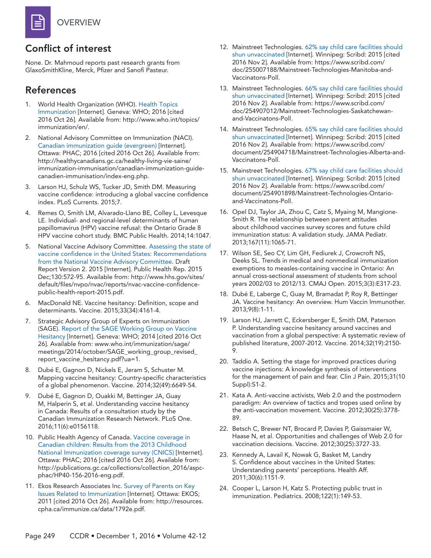

#### Conflict of interest

None. Dr. Mahmoud reports past research grants from GlaxoSmithKline, Merck, Pfizer and Sanofi Pasteur.

#### References

- 1. World Health Organization (WHO). [Health Topics](http://www.who.int/topics/immunization/en/)  [Immunization](http://www.who.int/topics/immunization/en/) [Internet]. Geneva: WHO; 2016 [cited 2016 Oct 26]. Available from: http://www.who.int/topics/ immunization/en/.
- 2. National Advisory Committee on Immunization (NACI). [Canadian immunization guide \(evergreen\)](http://healthycanadians.gc.ca/healthy-living-vie-saine/immunization-immunisation/canadian-immunization-guide-canadien-immunisation/index-eng.php) [Internet]. Ottawa: PHAC; 2016 [cited 2016 Oct 26]. Available from: http://healthycanadians.gc.ca/healthy-living-vie-saine/ immunization-immunisation/canadian-immunization-guidecanadien-immunisation/index-eng.php.
- 3. Larson HJ, Schulz WS, Tucker JD, Smith DM. Measuring vaccine confidence: introducing a global vaccine confidence index. PLoS Currents. 2015;7.
- 4. Remes O, Smith LM, Alvarado-Llano BE, Colley L, Levesque LE. Individual- and regional-level determinants of human papillomavirus (HPV) vaccine refusal: the Ontario Grade 8 HPV vaccine cohort study. BMC Public Health. 2014;14:1047.
- 5. National Vaccine Advisory Committee. [Assessing the state of](http://www.hhs.gov/sites/default/files/nvpo/nvac/reports/nvac-vaccine-confidence-public-health-report-2015.pdf)  [vaccine confidence in the United States: Recommendations](http://www.hhs.gov/sites/default/files/nvpo/nvac/reports/nvac-vaccine-confidence-public-health-report-2015.pdf)  [from the National Vaccine Advisory Committee](http://www.hhs.gov/sites/default/files/nvpo/nvac/reports/nvac-vaccine-confidence-public-health-report-2015.pdf). Draft Report Version 2. 2015 [Internet]. Public Health Rep. 2015 Dec;130:572-95. Available from: http://www.hhs.gov/sites/ default/files/nvpo/nvac/reports/nvac-vaccine-confidencepublic-health-report-2015.pdf.
- 6. MacDonald NE. Vaccine hesitancy: Definition, scope and determinants. Vaccine. 2015;33(34):4161-4.
- 7. Strategic Advisory Group of Experts on Immunization (SAGE). [Report of the SAGE Working Group on Vaccine](http://www.who.int/immunization/sage/meetings/2014/october/SAGE_working_group_revised_report_vaccine_hesitancy.pdf?ua=1)  [Hesitancy](http://www.who.int/immunization/sage/meetings/2014/october/SAGE_working_group_revised_report_vaccine_hesitancy.pdf?ua=1) [Internet]. Geneva: WHO; 2014 [cited 2016 Oct 26]. Available from: www.who.int/immunization/sage/ meetings/2014/october/SAGE\_working\_group\_revised\_ report\_vaccine\_hesitancy.pdf?ua=1.
- 8. Dubé E, Gagnon D, Nickels E, Jeram S, Schuster M. Mapping vaccine hesitancy: Country-specific characteristics of a global phenomenon. Vaccine. 2014;32(49):6649-54.
- 9. Dubé E, Gagnon D, Ouakki M, Bettinger JA, Guay M, Halperin S, et al. Understanding vaccine hesitancy in Canada: Results of a consultation study by the Canadian Immunization Research Network. PLoS One. 2016;11(6):e0156118.
- 10. Public Health Agency of Canada. [Vaccine coverage in](http://publications.gc.ca/collections/collection_2016/aspc-phac/HP40-156-2016-eng.pdf)  [Canadian children: Results from the 2013 Childhood](http://publications.gc.ca/collections/collection_2016/aspc-phac/HP40-156-2016-eng.pdf)  [National Immunization coverage survey \(CNICS\)](http://publications.gc.ca/collections/collection_2016/aspc-phac/HP40-156-2016-eng.pdf) [Internet]. Ottawa: PHAC; 2016 [cited 2016 Oct 26]. Available from: http://publications.gc.ca/collections/collection\_2016/aspcphac/HP40-156-2016-eng.pdf.
- 11. Ekos Research Associates Inc. [Survey of Parents on Key](http://resources.cpha.ca/immunize.ca/data/1792e.pdf)  [Issues Related to Immunization \[Internet\]](http://resources.cpha.ca/immunize.ca/data/1792e.pdf). Ottawa: EKOS; 2011 [cited 2016 Oct 26]. Available from: http://resources. cpha.ca/immunize.ca/data/1792e.pdf.
- 12. Mainstreet Technologies. [62% say child care facilities should](https://www.scribd.com/doc/255007188/Mainstreet-Technologies-Manitoba-and-Vaccinatons-Poll)  [shun unvaccinated](https://www.scribd.com/doc/255007188/Mainstreet-Technologies-Manitoba-and-Vaccinatons-Poll) [Internet]. Winnipeg: Scribd: 2015 [cited 2016 Nov 2]. Available from: https://www.scribd.com/ doc/255007188/Mainstreet-Technologies-Manitoba-and-Vaccinatons-Poll.
- 13. Mainstreet Technologies. [66% say child care facilities should](https://www.scribd.com/doc/254907012/Mainstreet-Technologies-Saskatchewan-and-Vaccinatons-Poll)  [shun unvaccinated](https://www.scribd.com/doc/254907012/Mainstreet-Technologies-Saskatchewan-and-Vaccinatons-Poll) [Internet]. Winnipeg: Scribd: 2015 [cited 2016 Nov 2]. Available from: https://www.scribd.com/ doc/254907012/Mainstreet-Technologies-Saskatchewanand-Vaccinatons-Poll.
- 14. Mainstreet Technologies. [65% say child care facilities should](https://www.scribd.com/document/254904718/Mainstreet-Technologies-Alberta-and-Vaccinatons-Poll)  [shun unvaccinated](https://www.scribd.com/document/254904718/Mainstreet-Technologies-Alberta-and-Vaccinatons-Poll) [Internet]. Winnipeg: Scribd: 2015 [cited 2016 Nov 2]. Available from: https://www.scribd.com/ document/254904718/Mainstreet-Technologies-Alberta-and-Vaccinatons-Poll.
- 15. Mainstreet Technologies. [67% say child care facilities should](https://www.scribd.com/document/254901898/Mainstreet-Technologies-Ontario-and-Vaccinatons-Poll)  [shun unvaccinated](https://www.scribd.com/document/254901898/Mainstreet-Technologies-Ontario-and-Vaccinatons-Poll) [Internet]. Winnipeg: Scribd: 2015 [cited 2016 Nov 2]. Available from: https://www.scribd.com/ document/254901898/Mainstreet-Technologies-Ontarioand-Vaccinatons-Poll.
- 16. Opel DJ, Taylor JA, Zhou C, Catz S, Myaing M, Mangione-Smith R. The relationship between parent attitudes about childhood vaccines survey scores and future child immunization status: A validation study. JAMA Pediatr. 2013;167(11):1065-71.
- 17. Wilson SE, Seo CY, Lim GH, Fediurek J, Crowcroft NS, Deeks SL. Trends in medical and nonmedical immunization exemptions to measles-containing vaccine in Ontario: An annual cross-sectional assessment of students from school years 2002/03 to 2012/13. CMAJ Open. 2015;3(3):E317-23.
- 18. Dubé E, Laberge C, Guay M, Bramadat P, Roy R, Bettinger JA. Vaccine hesitancy: An overview. Hum Vaccin Immunother. 2013;9(8):1-11.
- 19. Larson HJ, Jarrett C, Eckersberger E, Smith DM, Paterson P. Understanding vaccine hesitancy around vaccines and vaccination from a global perspective: A systematic review of published literature, 2007-2012. Vaccine. 2014;32(19):2150- 9.
- 20. Taddio A. Setting the stage for improved practices during vaccine injections: A knowledge synthesis of interventions for the management of pain and fear. Clin J Pain. 2015;31(10 Suppl):S1-2.
- 21. Kata A. Anti-vaccine activists, Web 2.0 and the postmodern paradigm: An overview of tactics and tropes used online by the anti-vaccination movement. Vaccine. 2012;30(25):3778- 89.
- 22. Betsch C, Brewer NT, Brocard P, Davies P, Gaissmaier W, Haase N, et al. Opportunities and challenges of Web 2.0 for vaccination decisions. Vaccine. 2012;30(25):3727-33.
- 23. Kennedy A, Lavail K, Nowak G, Basket M, Landry S. Confidence about vaccines in the United States: Understanding parents' perceptions. Health Aff. 2011;30(6):1151-9.
- 24. Cooper L, Larson H, Katz S. Protecting public trust in immunization. Pediatrics. 2008;122(1):149-53.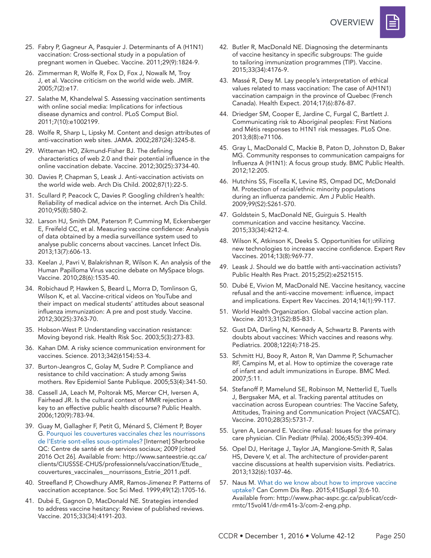- 25. Fabry P, Gagneur A, Pasquier J. Determinants of A (H1N1) vaccination: Cross-sectional study in a population of pregnant women in Quebec. Vaccine. 2011;29(9):1824-9.
- 26. Zimmerman R, Wolfe R, Fox D, Fox J, Nowalk M, Troy J, et al. Vaccine criticism on the world wide web. JMIR. 2005;7(2):e17.
- 27. Salathe M, Khandelwal S. Assessing vaccination sentiments with online social media: Implications for infectious disease dynamics and control. PLoS Comput Biol. 2011;7(10):e1002199.
- 28. Wolfe R, Sharp L, Lipsky M. Content and design attributes of anti-vaccination web sites. JAMA. 2002;287(24):3245-8.
- 29. Witteman HO, Zikmund-Fisher BJ. The defining characteristics of web 2.0 and their potential influence in the online vaccination debate. Vaccine. 2012;30(25):3734-40.
- 30. Davies P, Chapman S, Leask J. Anti-vaccination activists on the world wide web. Arch Dis Child. 2002;87(1):22-5.
- 31. Scullard P, Peacock C, Davies P. Googling children's health: Reliability of medical advice on the internet. Arch Dis Child. 2010;95(8):580-2.
- 32. Larson HJ, Smith DM, Paterson P, Cumming M, Eckersberger E, Freifeld CC, et al. Measuring vaccine confidence: Analysis of data obtained by a media surveillance system used to analyse public concerns about vaccines. Lancet Infect Dis. 2013;13(7):606-13.
- 33. Keelan J, Pavri V, Balakrishnan R, Wilson K. An analysis of the Human Papilloma Virus vaccine debate on MySpace blogs. Vaccine. 2010;28(6):1535-40.
- 34. Robichaud P, Hawken S, Beard L, Morra D, Tomlinson G, Wilson K, et al. Vaccine-critical videos on YouTube and their impact on medical students' attitudes about seasonal influenza immunization: A pre and post study. Vaccine. 2012;30(25):3763-70.
- 35. Hobson-West P. Understanding vaccination resistance: Moving beyond risk. Health Risk Soc. 2003;5(3):273-83.
- 36. Kahan DM. A risky science communication environment for vaccines. Science. 2013;342(6154):53-4.
- 37. Burton-Jeangros C, Golay M, Sudre P. Compliance and resistance to child vaccination: A study among Swiss mothers. Rev Epidemiol Sante Publique. 2005;53(4):341-50.
- 38. Cassell JA, Leach M, Poltorak MS, Mercer CH, Iversen A, Fairhead JR. Is the cultural context of MMR rejection a key to an effective public health discourse? Public Health. 2006;120(9):783-94.
- 39. Guay M, Gallagher F, Petit G, Ménard S, Clément P, Boyer G. [Pourquoi les couvertures vaccinales chez les nourrissons](http://www.santeestrie.qc.ca/clients/CIUSSSE-CHUS/professionnels/vaccination/Etude_couvertures_vaccinales__nourrissons_Estrie_2011.pdf)  [de l'Estrie sont-elles sous-optimales?](http://www.santeestrie.qc.ca/clients/CIUSSSE-CHUS/professionnels/vaccination/Etude_couvertures_vaccinales__nourrissons_Estrie_2011.pdf) [Internet] Sherbrooke QC: Centre de santé et de services sociaux; 2009 [cited 2016 Oct 26]. Available from: http://www.santeestrie.qc.ca/ clients/CIUSSSE-CHUS/professionnels/vaccination/Etude\_ couvertures\_vaccinales\_\_nourrissons\_Estrie\_2011.pdf.
- 40. Streefland P, Chowdhury AMR, Ramos-Jimenez P. Patterns of vaccination acceptance. Soc Sci Med. 1999;49(12):1705-16.
- 41. Dubé E, Gagnon D, MacDonald NE. Strategies intended to address vaccine hesitancy: Review of published reviews. Vaccine. 2015;33(34):4191-203.
- 42. Butler R, MacDonald NE. Diagnosing the determinants of vaccine hesitancy in specific subgroups: The guide to tailoring immunization programmes (TIP). Vaccine. 2015;33(34):4176-9.
- 43. Massé R, Desy M. Lay people's interpretation of ethical values related to mass vaccination: The case of A(H1N1) vaccination campaign in the province of Quebec (French Canada). Health Expect. 2014;17(6):876-87.
- 44. Driedger SM, Cooper E, Jardine C, Furgal C, Bartlett J. Communicating risk to Aboriginal peoples: First Nations and Métis responses to H1N1 risk messages. PLoS One. 2013;8(8):e71106.
- 45. Gray L, MacDonald C, Mackie B, Paton D, Johnston D, Baker MG. Community responses to communication campaigns for Influenza A (H1N1): A focus group study. BMC Public Health. 2012;12:205.
- 46. Hutchins SS, Fiscella K, Levine RS, Ompad DC, McDonald M. Protection of racial/ethnic minority populations during an influenza pandemic. Am J Public Health. 2009;99(S2):S261-S70.
- 47. Goldstein S, MacDonald NE, Guirguis S. Health communication and vaccine hesitancy. Vaccine. 2015;33(34):4212-4.
- 48. Wilson K, Atkinson K, Deeks S. Opportunities for utilizing new technologies to increase vaccine confidence. Expert Rev Vaccines. 2014;13(8):969-77.
- 49. Leask J. Should we do battle with anti-vaccination activists? Public Health Res Pract. 2015;25(2):e2521515.
- 50. Dubé E, Vivion M, MacDonald NE. Vaccine hesitancy, vaccine refusal and the anti-vaccine movement: influence, impact and implications. Expert Rev Vaccines. 2014;14(1):99-117.
- 51. World Health Organization. Global vaccine action plan. Vaccine. 2013;31(S2):B5-B31.
- 52. Gust DA, Darling N, Kennedy A, Schwartz B. Parents with doubts about vaccines: Which vaccines and reasons why. Pediatrics. 2008;122(4):718-25.
- 53. Schmitt HJ, Booy R, Aston R, Van Damme P, Schumacher RF, Campins M, et al. How to optimize the coverage rate of infant and adult immunizations in Europe. BMC Med. 2007;5:11.
- 54. Stefanoff P, Mamelund SE, Robinson M, Netterlid E, Tuells J, Bergsaker MA, et al. Tracking parental attitudes on vaccination across European countries: The Vaccine Safety, Attitudes, Training and Communication Project (VACSATC). Vaccine. 2010;28(35):5731-7.
- 55. Lyren A, Leonard E. Vaccine refusal: Issues for the primary care physician. Clin Pediatr (Phila). 2006;45(5):399-404.
- 56. Opel DJ, Heritage J, Taylor JA, Mangione-Smith R, Salas HS, Devere V, et al. The architecture of provider-parent vaccine discussions at health supervision visits. Pediatrics. 2013;132(6):1037-46.
- 57. Naus M. [What do we know about how to improve vaccine](http://www.phac-aspc.gc.ca/publicat/ccdr-rmtc/15vol41/dr-rm41s-3/com-2-eng.php)  [uptake?](http://www.phac-aspc.gc.ca/publicat/ccdr-rmtc/15vol41/dr-rm41s-3/com-2-eng.php) Can Comm Dis Rep. 2015;41(Suppl 3):6-10. Available from: http://www.phac-aspc.gc.ca/publicat/ccdrrmtc/15vol41/dr-rm41s-3/com-2-eng.php.